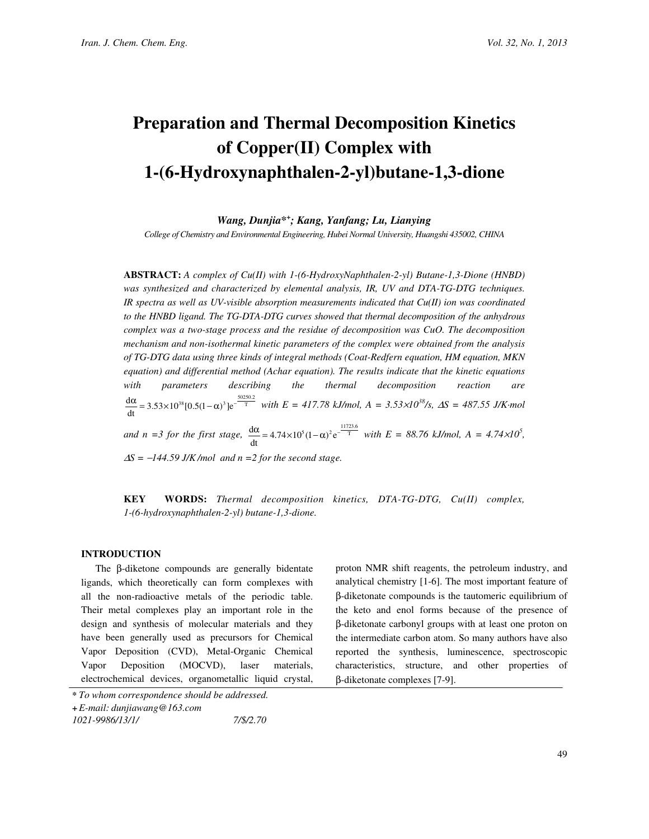# Preparation and Thermal Decomposition Kinetics of Copper(II) Complex with 1-(6-Hydroxynaphthalen-2-yl)butane-1,3-dione

Wang, Dunjia\*<sup>+</sup> ; Kang, Yanfang; Lu, Lianying

College of Chemistry and Environmental Engineering, Hubei Normal University, Huangshi 435002, CHINA

ABSTRACT: A complex of Cu(II) with 1-(6-HydroxyNaphthalen-2-yl) Butane-1,3-Dione (HNBD) was synthesized and characterized by elemental analysis, IR, UV and DTA-TG-DTG techniques. IR spectra as well as UV-visible absorption measurements indicated that  $Cu(II)$  ion was coordinated to the HNBD ligand. The TG-DTA-DTG curves showed that thermal decomposition of the anhydrous complex was a two-stage process and the residue of decomposition was CuO. The decomposition mechanism and non-isothermal kinetic parameters of the complex were obtained from the analysis of TG-DTG data using three kinds of integral methods (Coat-Redfern equation, HM equation, MKN equation) and differential method (Achar equation). The results indicate that the kinetic equations with parameters describing the thermal decomposition reaction are  $\frac{d\alpha}{dt} = 3.53 \times 10^{38} [0.5(1-\alpha)^3] e^{-\frac{50250.2}{T}}$  $\frac{\alpha}{\alpha}$  = 3.53×10<sup>38</sup>[0.5(1- $\alpha$ )<sup>3</sup>]e<sup>- $\frac{30250.2}{1}$ </sup> with E = 417.78 kJ/mol, A = 3.53×10<sup>38</sup>/s,  $\Delta S$  = 487.55 J/K·mol and  $n = 3$  for the first stage,  $\frac{d\alpha}{dt} = 4.74 \times 10^5 (1 - \alpha)^2 e^{-\frac{11723.6}{T}}$  $\frac{\alpha}{\epsilon}$  = 4.74×10<sup>5</sup>(1- $\alpha$ )<sup>2</sup> e<sup>-1723,6</sup> with E = 88.76 kJ/mol, A = 4.74×10<sup>5</sup>,  $\Delta S = -144.59$  J/K/mol and n = 2 for the second stage.

KEY WORDS: Thermal decomposition kinetics, DTA-TG-DTG, Cu(II) complex, 1-(6-hydroxynaphthalen-2-yl) butane-1,3-dione.

# INTRODUCTION

The β-diketone compounds are generally bidentate ligands, which theoretically can form complexes with all the non-radioactive metals of the periodic table. Their metal complexes play an important role in the design and synthesis of molecular materials and they have been generally used as precursors for Chemical Vapor Deposition (CVD), Metal-Organic Chemical Vapor Deposition (MOCVD), laser materials, electrochemical devices, organometallic liquid crystal, proton NMR shift reagents, the petroleum industry, and analytical chemistry [1-6]. The most important feature of β-diketonate compounds is the tautomeric equilibrium of the keto and enol forms because of the presence of β-diketonate carbonyl groups with at least one proton on the intermediate carbon atom. So many authors have also reported the synthesis, luminescence, spectroscopic characteristics, structure, and other properties of β-diketonate complexes [7-9].

<sup>\*</sup> To whom correspondence should be addressed.

<sup>+</sup>E-mail: dunjiawang@163.com

<sup>1021-9986/13/1/ 7/\$/2.70</sup>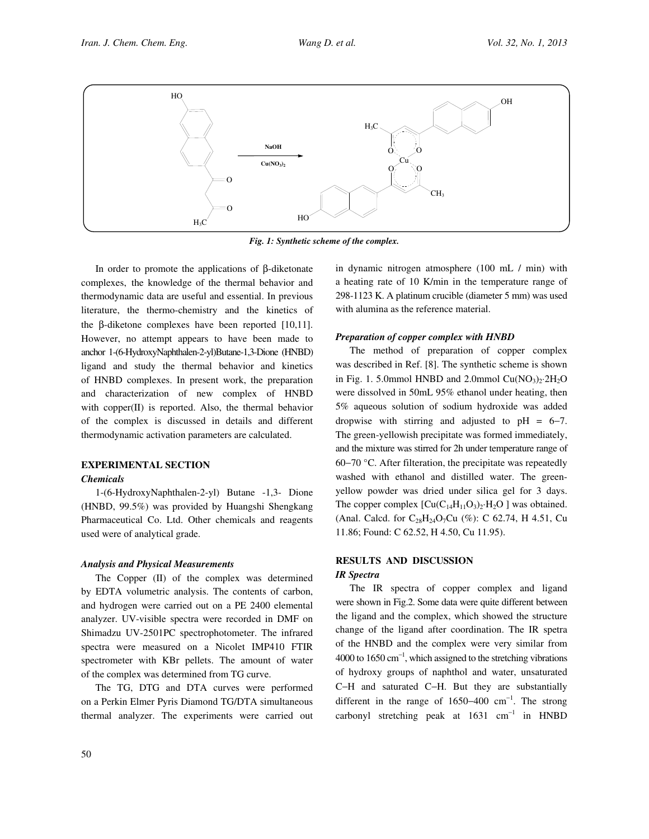

Fig. 1: Synthetic scheme of the complex.

In order to promote the applications of β-diketonate complexes, the knowledge of the thermal behavior and thermodynamic data are useful and essential. In previous literature, the thermo-chemistry and the kinetics of the β-diketone complexes have been reported [10,11]. However, no attempt appears to have been made to anchor 1-(6-HydroxyNaphthalen-2-yl)Butane-1,3-Dione (HNBD) ligand and study the thermal behavior and kinetics of HNBD complexes. In present work, the preparation and characterization of new complex of HNBD with copper(II) is reported. Also, the thermal behavior of the complex is discussed in details and different thermodynamic activation parameters are calculated.

# EXPERIMENTAL SECTION

# Chemicals

1-(6-HydroxyNaphthalen-2-yl) Butane -1,3- Dione (HNBD, 99.5%) was provided by Huangshi Shengkang Pharmaceutical Co. Ltd. Other chemicals and reagents used were of analytical grade.

#### Analysis and Physical Measurements

The Copper (II) of the complex was determined by EDTA volumetric analysis. The contents of carbon, and hydrogen were carried out on a PE 2400 elemental analyzer. UV-visible spectra were recorded in DMF on Shimadzu UV-2501PC spectrophotometer. The infrared spectra were measured on a Nicolet IMP410 FTIR spectrometer with KBr pellets. The amount of water of the complex was determined from TG curve.

The TG, DTG and DTA curves were performed on a Perkin Elmer Pyris Diamond TG/DTA simultaneous thermal analyzer. The experiments were carried out

in dynamic nitrogen atmosphere (100 mL / min) with a heating rate of 10 K/min in the temperature range of 298-1123 K. A platinum crucible (diameter 5 mm) was used with alumina as the reference material.

# Preparation of copper complex with HNBD

The method of preparation of copper complex was described in Ref. [8]. The synthetic scheme is shown in Fig. 1. 5.0mmol HNBD and 2.0mmol  $Cu(NO<sub>3</sub>)<sub>2</sub>·2H<sub>2</sub>O$ were dissolved in 50mL 95% ethanol under heating, then 5% aqueous solution of sodium hydroxide was added dropwise with stirring and adjusted to  $pH = 6-7$ . The green-yellowish precipitate was formed immediately, and the mixture was stirred for 2h under temperature range of 60−70 °C. After filteration, the precipitate was repeatedly washed with ethanol and distilled water. The greenyellow powder was dried under silica gel for 3 days. The copper complex  $\left[\text{Cu}(C_{14}H_{11}O_3)_2 \cdot H_2O \right]$  was obtained. (Anal. Calcd. for  $C_{28}H_{24}O_7Cu$  (%): C 62.74, H 4.51, Cu 11.86; Found: C 62.52, H 4.50, Cu 11.95).

# RESULTS AND DISCUSSION

# IR Spectra

The IR spectra of copper complex and ligand were shown in Fig.2. Some data were quite different between the ligand and the complex, which showed the structure change of the ligand after coordination. The IR spetra of the HNBD and the complex were very similar from 4000 to 1650  $\text{cm}^{-1}$ , which assigned to the stretching vibrations of hydroxy groups of naphthol and water, unsaturated C−H and saturated C−H. But they are substantially different in the range of 1650–400  $cm^{-1}$ . The strong carbonyl stretching peak at  $1631 \text{ cm}^{-1}$  in HNBD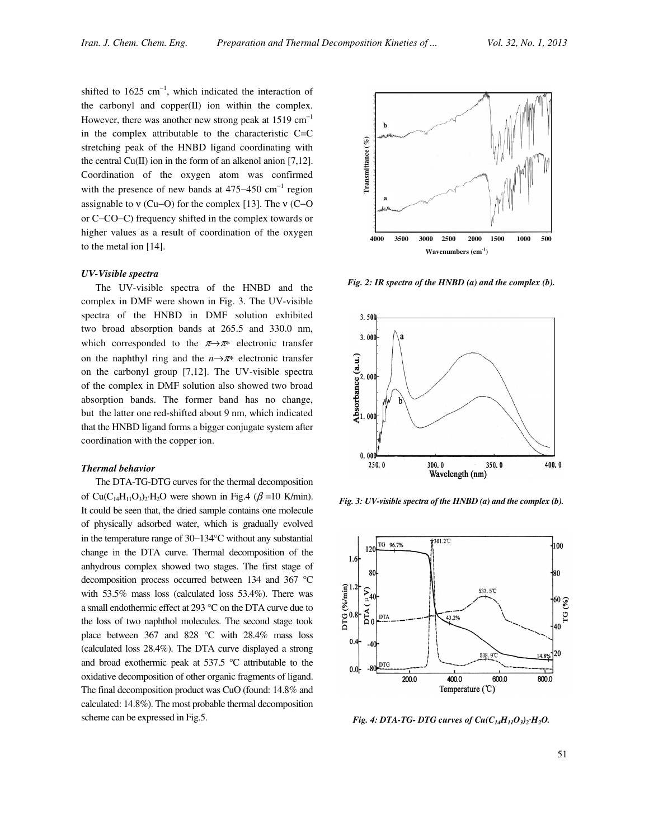shifted to  $1625 \text{ cm}^{-1}$ , which indicated the interaction of the carbonyl and copper(II) ion within the complex. However, there was another new strong peak at 1519  $cm^{-1}$ in the complex attributable to the characteristic C=C stretching peak of the HNBD ligand coordinating with the central  $Cu(II)$  ion in the form of an alkenol anion [7,12]. Coordination of the oxygen atom was confirmed with the presence of new bands at  $475-450$  cm<sup>-1</sup> region assignable to ν (Cu−O) for the complex [13]. The ν (C−O or C−CO−C) frequency shifted in the complex towards or higher values as a result of coordination of the oxygen to the metal ion [14].

#### UV-Visible spectra

The UV-visible spectra of the HNBD and the complex in DMF were shown in Fig. 3. The UV-visible spectra of the HNBD in DMF solution exhibited two broad absorption bands at 265.5 and 330.0 nm, which corresponded to the  $\pi \rightarrow \pi^*$  electronic transfer on the naphthyl ring and the  $n \rightarrow \pi^*$  electronic transfer on the carbonyl group [7,12]. The UV-visible spectra of the complex in DMF solution also showed two broad absorption bands. The former band has no change, but the latter one red-shifted about 9 nm, which indicated that the HNBD ligand forms a bigger conjugate system after coordination with the copper ion.

#### Thermal behavior

The DTA-TG-DTG curves for the thermal decomposition of Cu(C<sub>14</sub>H<sub>11</sub>O<sub>3</sub>)<sub>2</sub>·H<sub>2</sub>O were shown in Fig.4 ( $\beta$  =10 K/min). It could be seen that, the dried sample contains one molecule of physically adsorbed water, which is gradually evolved in the temperature range of 30−134°C without any substantial change in the DTA curve. Thermal decomposition of the anhydrous complex showed two stages. The first stage of decomposition process occurred between 134 and 367 °C with 53.5% mass loss (calculated loss 53.4%). There was a small endothermic effect at 293 °C on the DTA curve due to the loss of two naphthol molecules. The second stage took place between 367 and 828 °C with 28.4% mass loss (calculated loss 28.4%). The DTA curve displayed a strong and broad exothermic peak at 537.5 °C attributable to the oxidative decomposition of other organic fragments of ligand. The final decomposition product was CuO (found: 14.8% and calculated: 14.8%). The most probable thermal decomposition scheme can be expressed in Fig.5.



Fig. 2: IR spectra of the HNBD (a) and the complex (b).



Fig. 3: UV-visible spectra of the HNBD (a) and the complex (b).

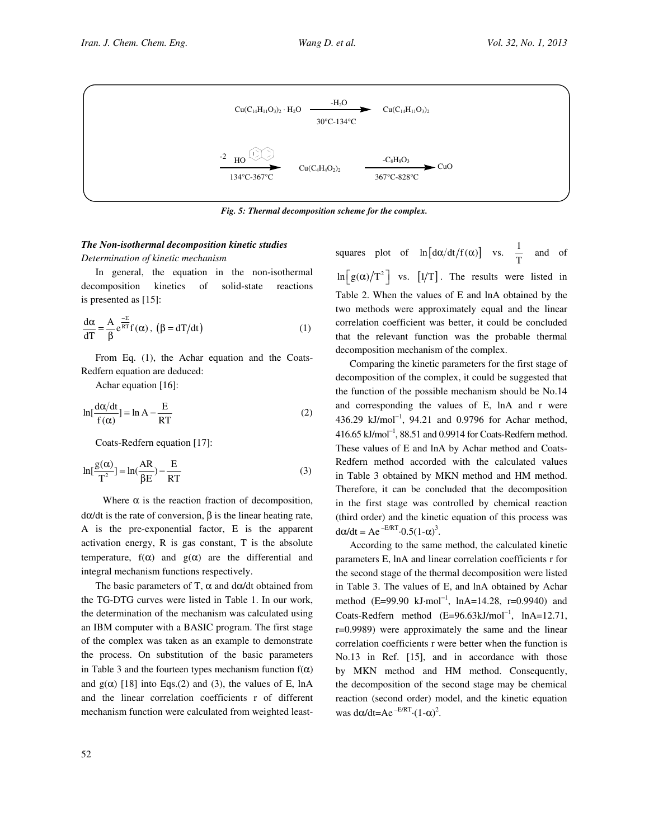

Fig. 5: Thermal decomposition scheme for the complex.

# The Non-isothermal decomposition kinetic studies

Determination of kinetic mechanism

In general, the equation in the non-isothermal decomposition kinetics of solid-state reactions is presented as [15]:

$$
\frac{d\alpha}{dT} = \frac{A}{\beta} e^{\frac{-E}{RT}} f(\alpha), \ (\beta = dT/dt)
$$
 (1)

From Eq. (1), the Achar equation and the Coats-Redfern equation are deduced:

Achar equation [16]:

$$
\ln[\frac{d\alpha/dt}{f(\alpha)}] = \ln A - \frac{E}{RT}
$$
 (2)

Coats-Redfern equation [17]:

$$
\ln[\frac{g(\alpha)}{T^2}] = \ln(\frac{AR}{\beta E}) - \frac{E}{RT}
$$
 (3)

Where  $\alpha$  is the reaction fraction of decomposition, dα/dt is the rate of conversion, β is the linear heating rate, A is the pre-exponential factor, E is the apparent activation energy, R is gas constant, T is the absolute temperature,  $f(\alpha)$  and  $g(\alpha)$  are the differential and integral mechanism functions respectively.

The basic parameters of T,  $\alpha$  and d $\alpha$ /dt obtained from the TG-DTG curves were listed in Table 1. In our work, the determination of the mechanism was calculated using an IBM computer with a BASIC program. The first stage of the complex was taken as an example to demonstrate the process. On substitution of the basic parameters in Table 3 and the fourteen types mechanism function  $f(\alpha)$ and  $g(\alpha)$  [18] into Eqs.(2) and (3), the values of E, lnA and the linear correlation coefficients r of different mechanism function were calculated from weighted least-

squares plot of  $\ln [\frac{d\alpha}{dt} f(\alpha)]$  vs.  $\frac{1}{\pi}$  $\frac{1}{T}$  and of  $\ln \left[ g(\alpha)/T^2 \right]$  vs.  $\left[ 1/T \right]$ . The results were listed in Table 2. When the values of E and lnA obtained by the two methods were approximately equal and the linear correlation coefficient was better, it could be concluded that the relevant function was the probable thermal decomposition mechanism of the complex.

Comparing the kinetic parameters for the first stage of decomposition of the complex, it could be suggested that the function of the possible mechanism should be No.14 and corresponding the values of E, lnA and r were 436.29 kJ/mol<sup>-1</sup>, 94.21 and 0.9796 for Achar method, 416.65 kJ/mol<sup>−</sup><sup>1</sup> , 88.51 and 0.9914 for Coats-Redfern method. These values of E and lnA by Achar method and Coats-Redfern method accorded with the calculated values in Table 3 obtained by MKN method and HM method. Therefore, it can be concluded that the decomposition in the first stage was controlled by chemical reaction (third order) and the kinetic equation of this process was  $d\alpha/dt = Ae^{-E/RT} \cdot 0.5(1-\alpha)^3$ .

According to the same method, the calculated kinetic parameters E, lnA and linear correlation coefficients r for the second stage of the thermal decomposition were listed in Table 3. The values of E, and lnA obtained by Achar method (E=99.90 kJ⋅mol<sup>-1</sup>, lnA=14.28, r=0.9940) and Coats-Redfern method  $(E=96.63 \text{kJ/mol}^{-1}$ , lnA=12.71, r=0.9989) were approximately the same and the linear correlation coefficients r were better when the function is No.13 in Ref. [15], and in accordance with those by MKN method and HM method. Consequently, the decomposition of the second stage may be chemical reaction (second order) model, and the kinetic equation was  $d\alpha/dt = Ae^{-E/RT} \cdot (1-\alpha)^2$ .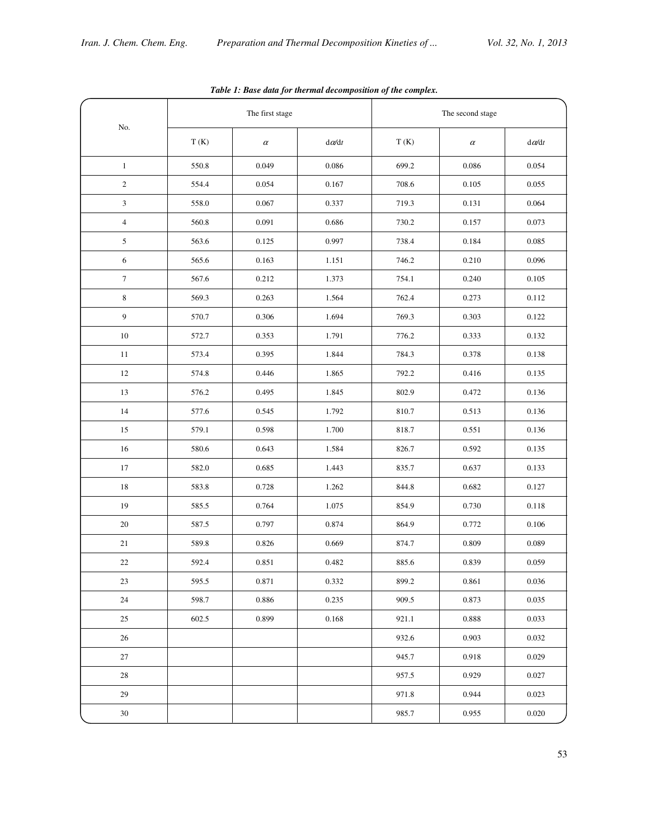|                | The first stage |          |              | The second stage |          |              |
|----------------|-----------------|----------|--------------|------------------|----------|--------------|
| No.            | T(K)            | $\alpha$ | $d\alpha/dt$ | T(K)             | $\alpha$ | $d\alpha/dt$ |
| $\mathbf{1}$   | 550.8           | 0.049    | 0.086        | 699.2            | 0.086    | 0.054        |
| $\overline{2}$ | 554.4           | 0.054    | 0.167        | 708.6            | 0.105    | 0.055        |
| 3              | 558.0           | 0.067    | 0.337        | 719.3            | 0.131    | 0.064        |
| $\overline{4}$ | 560.8           | 0.091    | 0.686        | 730.2            | 0.157    | 0.073        |
| 5              | 563.6           | 0.125    | 0.997        | 738.4            | 0.184    | 0.085        |
| 6              | 565.6           | 0.163    | 1.151        | 746.2            | 0.210    | 0.096        |
| $\overline{7}$ | 567.6           | 0.212    | 1.373        | 754.1            | 0.240    | 0.105        |
| 8              | 569.3           | 0.263    | 1.564        | 762.4            | 0.273    | 0.112        |
| 9              | 570.7           | 0.306    | 1.694        | 769.3            | 0.303    | 0.122        |
| 10             | 572.7           | 0.353    | 1.791        | 776.2            | 0.333    | 0.132        |
| 11             | 573.4           | 0.395    | 1.844        | 784.3            | 0.378    | 0.138        |
| 12             | 574.8           | 0.446    | 1.865        | 792.2            | 0.416    | 0.135        |
| 13             | 576.2           | 0.495    | 1.845        | 802.9            | 0.472    | 0.136        |
| 14             | 577.6           | 0.545    | 1.792        | 810.7            | 0.513    | 0.136        |
| 15             | 579.1           | 0.598    | 1.700        | 818.7            | 0.551    | 0.136        |
| 16             | 580.6           | 0.643    | 1.584        | 826.7            | 0.592    | 0.135        |
| 17             | 582.0           | 0.685    | 1.443        | 835.7            | 0.637    | 0.133        |
| 18             | 583.8           | 0.728    | 1.262        | 844.8            | 0.682    | 0.127        |
| 19             | 585.5           | 0.764    | 1.075        | 854.9            | 0.730    | 0.118        |
| 20             | 587.5           | 0.797    | 0.874        | 864.9            | 0.772    | 0.106        |
| 21             | 589.8           | 0.826    | 0.669        | 874.7            | 0.809    | 0.089        |
| 22             | 592.4           | 0.851    | 0.482        | 885.6            | 0.839    | 0.059        |
| 23             | 595.5           | 0.871    | 0.332        | 899.2            | 0.861    | 0.036        |
| $24\,$         | 598.7           | 0.886    | 0.235        | 909.5            | 0.873    | 0.035        |
| 25             | 602.5           | 0.899    | 0.168        | 921.1            | 0.888    | 0.033        |
| 26             |                 |          |              | 932.6            | 0.903    | 0.032        |
| 27             |                 |          |              | 945.7            | 0.918    | 0.029        |
| 28             |                 |          |              | 957.5            | 0.929    | 0.027        |
| $29\,$         |                 |          |              | 971.8            | 0.944    | 0.023        |
| $30\,$         |                 |          |              | 985.7            | 0.955    | 0.020        |

Table 1: Base data for thermal decomposition of the complex.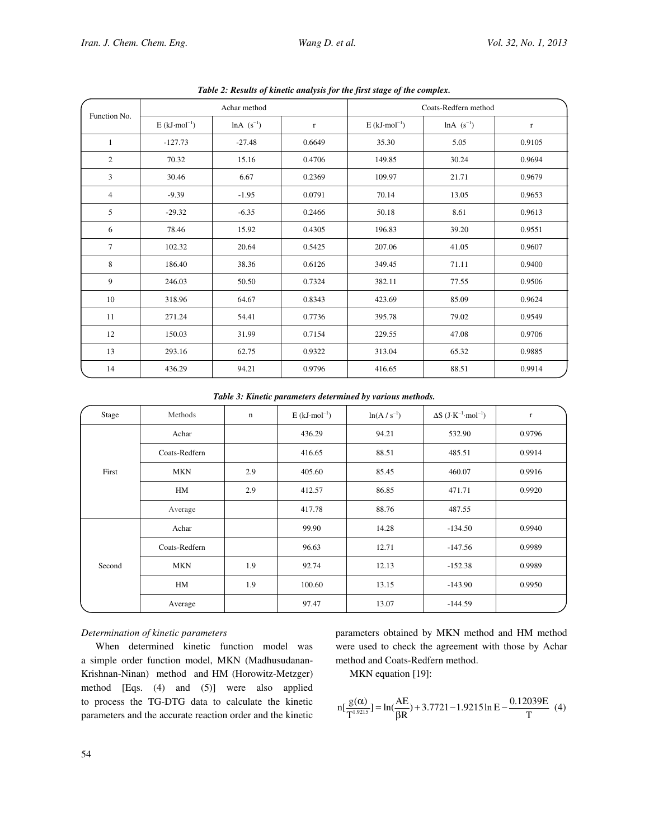| Function No.   | Achar method                |                 |          | Coats-Redfern method        |                 |          |  |
|----------------|-----------------------------|-----------------|----------|-----------------------------|-----------------|----------|--|
|                | $E$ (kJ·mol <sup>-1</sup> ) | $ln A (s^{-1})$ | $\Gamma$ | $E$ (kJ·mol <sup>-1</sup> ) | $ln A (s^{-1})$ | $\Gamma$ |  |
| $\mathbf{1}$   | $-127.73$                   | $-27.48$        | 0.6649   | 35.30                       | 5.05            | 0.9105   |  |
| $\mathfrak{2}$ | 70.32                       | 15.16           | 0.4706   | 149.85                      | 30.24           | 0.9694   |  |
| 3              | 30.46                       | 6.67            | 0.2369   | 109.97                      | 21.71           | 0.9679   |  |
| $\overline{4}$ | $-9.39$                     | $-1.95$         | 0.0791   | 70.14                       | 13.05           | 0.9653   |  |
| 5              | $-29.32$                    | $-6.35$         | 0.2466   | 50.18                       | 8.61            | 0.9613   |  |
| 6              | 78.46                       | 15.92           | 0.4305   | 196.83                      | 39.20           | 0.9551   |  |
| $\overline{7}$ | 102.32                      | 20.64           | 0.5425   | 207.06                      | 41.05           | 0.9607   |  |
| 8              | 186.40                      | 38.36           | 0.6126   | 349.45                      | 71.11           | 0.9400   |  |
| 9              | 246.03                      | 50.50           | 0.7324   | 382.11                      | 77.55           | 0.9506   |  |
| 10             | 318.96                      | 64.67           | 0.8343   | 423.69                      | 85.09           | 0.9624   |  |
| 11             | 271.24                      | 54.41           | 0.7736   | 395.78                      | 79.02           | 0.9549   |  |
| 12             | 150.03                      | 31.99           | 0.7154   | 229.55                      | 47.08           | 0.9706   |  |
| 13             | 293.16                      | 62.75           | 0.9322   | 313.04                      | 65.32           | 0.9885   |  |
| 14             | 436.29                      | 94.21           | 0.9796   | 416.65                      | 88.51           | 0.9914   |  |

Table 2: Results of kinetic analysis for the first stage of the complex.

Table 3: Kinetic parameters determined by various methods.

| Stage  | Methods       | $\mathbf n$ | $E$ (kJ·mol <sup>-1</sup> ) | $ln(A / s^{-1})$ | $\Delta S$ (J·K <sup>-1</sup> ·mol <sup>-1</sup> ) | $\Gamma$ |
|--------|---------------|-------------|-----------------------------|------------------|----------------------------------------------------|----------|
| First  | Achar         |             | 436.29                      | 94.21            | 532.90                                             | 0.9796   |
|        | Coats-Redfern |             | 416.65                      | 88.51            | 485.51                                             | 0.9914   |
|        | <b>MKN</b>    | 2.9         | 405.60                      | 85.45            | 460.07                                             | 0.9916   |
|        | HM            | 2.9         | 412.57                      | 86.85            | 471.71                                             | 0.9920   |
|        | Average       |             | 417.78                      | 88.76            | 487.55                                             |          |
| Second | Achar         |             | 99.90                       | 14.28            | $-134.50$                                          | 0.9940   |
|        | Coats-Redfern |             | 96.63                       | 12.71            | $-147.56$                                          | 0.9989   |
|        | <b>MKN</b>    | 1.9         | 92.74                       | 12.13            | $-152.38$                                          | 0.9989   |
|        | HM            | 1.9         | 100.60                      | 13.15            | $-143.90$                                          | 0.9950   |
|        | Average       |             | 97.47                       | 13.07            | $-144.59$                                          |          |

# Determination of kinetic parameters

When determined kinetic function model was a simple order function model, MKN (Madhusudanan-Krishnan-Ninan) method and HM (Horowitz-Metzger) method [Eqs. (4) and (5)] were also applied to process the TG-DTG data to calculate the kinetic parameters and the accurate reaction order and the kinetic parameters obtained by MKN method and HM method were used to check the agreement with those by Achar method and Coats-Redfern method.

MKN equation [19]:

$$
n[\frac{g(\alpha)}{T^{1.9215}}] = ln(\frac{AE}{\beta R}) + 3.7721 - 1.9215 ln E - \frac{0.12039E}{T}
$$
(4)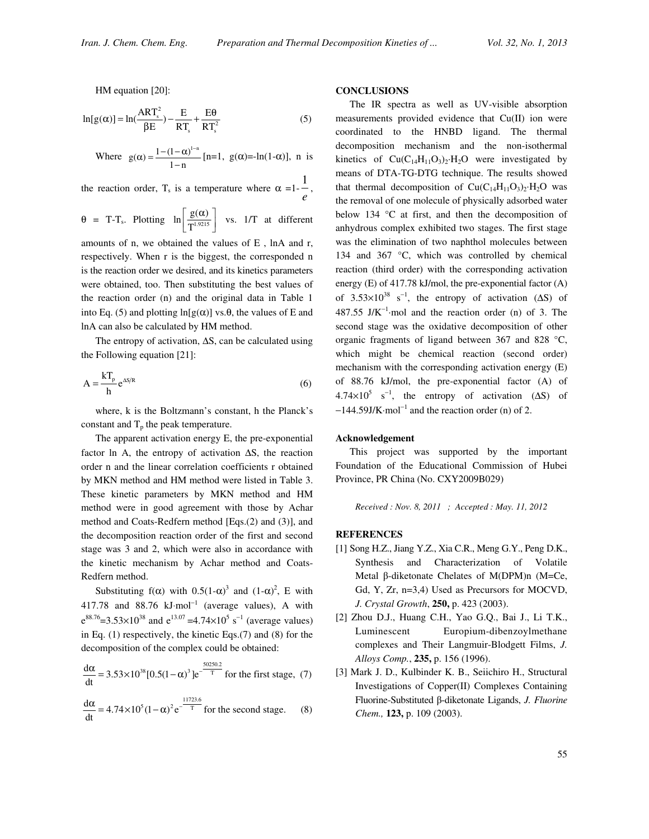HM equation [20]:

$$
\ln[g(\alpha)] = \ln(\frac{ART_s^2}{\beta E}) - \frac{E}{RT_s} + \frac{E\theta}{RT_s^2}
$$
(5)

Where  $g(\alpha) = \frac{1 - (1 - \alpha)^{1-n}}{1-n}$  $\alpha$ ) =  $\frac{1-(1-\alpha)^{1-n}}{1-n}$  [n=1, g( $\alpha$ ) = -1n(1- $\alpha$ )], n is

the reaction order, T<sub>s</sub> is a temperature where  $\alpha =1$ - $\frac{a}{e}$ 1 ,

$$
\theta = T - T_s
$$
. Plotting  $\ln \left[ \frac{g(\alpha)}{T^{1.9215}} \right]$  vs. 1/T at different

amounts of n, we obtained the values of E , lnA and r, respectively. When r is the biggest, the corresponded n is the reaction order we desired, and its kinetics parameters were obtained, too. Then substituting the best values of the reaction order (n) and the original data in Table 1 into Eq. (5) and plotting  $\ln[g(\alpha)]$  vs. $\theta$ , the values of E and lnA can also be calculated by HM method.

The entropy of activation, ∆S, can be calculated using the Following equation [21]:

$$
A = \frac{kT_p}{h} e^{\Delta S/R}
$$
 (6)

where, k is the Boltzmann's constant, h the Planck's constant and  $T_p$  the peak temperature.

The apparent activation energy E, the pre-exponential factor ln A, the entropy of activation ∆S, the reaction order n and the linear correlation coefficients r obtained by MKN method and HM method were listed in Table 3. These kinetic parameters by MKN method and HM method were in good agreement with those by Achar method and Coats-Redfern method [Eqs.(2) and (3)], and the decomposition reaction order of the first and second stage was 3 and 2, which were also in accordance with the kinetic mechanism by Achar method and Coats-Redfern method.

Substituting  $f(\alpha)$  with  $0.5(1-\alpha)^3$  and  $(1-\alpha)^2$ , E with 417.78 and 88.76  $kJ$ ·mol<sup>-1</sup> (average values), A with  $e^{88.76}$ =3.53×10<sup>38</sup> and  $e^{13.07}$  =4.74×10<sup>5</sup> s<sup>-1</sup> (average values) in Eq. (1) respectively, the kinetic Eqs.(7) and (8) for the decomposition of the complex could be obtained:

$$
\frac{d\alpha}{dt} = 3.53 \times 10^{38} [0.5(1-\alpha)^3] e^{-\frac{50250.2}{T}}
$$
 for the first stage, (7)

$$
\frac{d\alpha}{dt} = 4.74 \times 10^5 (1 - \alpha)^2 e^{-\frac{11723.6}{T}}
$$
 for the second stage. (8)

# **CONCLUSIONS**

The IR spectra as well as UV-visible absorption measurements provided evidence that Cu(II) ion were coordinated to the HNBD ligand. The thermal decomposition mechanism and the non-isothermal kinetics of  $Cu(C_{14}H_{11}O_3)_2 \cdot H_2O$  were investigated by means of DTA-TG-DTG technique. The results showed that thermal decomposition of  $Cu(C_{14}H_{11}O_3)_2 \cdot H_2O$  was the removal of one molecule of physically adsorbed water below 134 °C at first, and then the decomposition of anhydrous complex exhibited two stages. The first stage was the elimination of two naphthol molecules between 134 and 367 °C, which was controlled by chemical reaction (third order) with the corresponding activation energy (E) of 417.78 kJ/mol, the pre-exponential factor (A) of 3.53×10<sup>38</sup> s<sup>-1</sup>, the entropy of activation ( $\Delta S$ ) of 487.55  $J/K^{-1}$ ·mol and the reaction order (n) of 3. The second stage was the oxidative decomposition of other organic fragments of ligand between 367 and 828 °C, which might be chemical reaction (second order) mechanism with the corresponding activation energy (E) of 88.76 kJ/mol, the pre-exponential factor (A) of  $4.74 \times 10^5$  s<sup>-1</sup>, the entropy of activation ( $\Delta S$ ) of  $-144.59$ J/K·mol<sup>-1</sup> and the reaction order (n) of 2.

#### Acknowledgement

This project was supported by the important Foundation of the Educational Commission of Hubei Province, PR China (No. CXY2009B029)

Received : Nov. 8, 2011 ; Accepted : May. 11, 2012

# **REFERENCES**

- [1] Song H.Z., Jiang Y.Z., Xia C.R., Meng G.Y., Peng D.K., Synthesis and Characterization of Volatile Metal  $\beta$ -diketonate Chelates of M(DPM)n (M=Ce, Gd, Y, Zr, n=3,4) Used as Precursors for MOCVD, J. Crystal Growth, 250, p. 423 (2003).
- [2] Zhou D.J., Huang C.H., Yao G.Q., Bai J., Li T.K., Luminescent Europium-dibenzoylmethane complexes and Their Langmuir-Blodgett Films, J. Alloys Comp., 235, p. 156 (1996).
- [3] Mark J. D., Kulbinder K. B., Seiichiro H., Structural Investigations of Copper(II) Complexes Containing Fluorine-Substituted  $\beta$ -diketonate Ligands, J. Fluorine Chem., 123, p. 109 (2003).